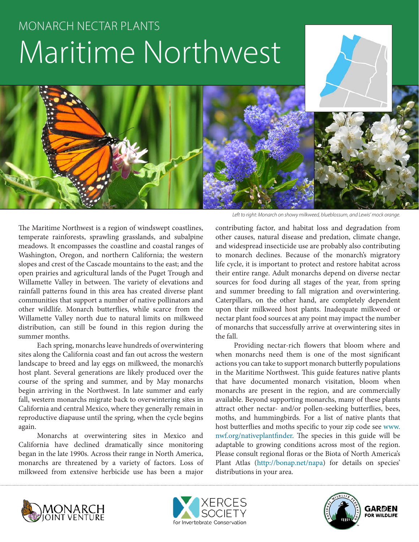# MONARCH NECTAR PLANTS Maritime Northwest

The Maritime Northwest is a region of windswept coastlines, temperate rainforests, sprawling grasslands, and subalpine meadows. It encompasses the coastline and coastal ranges of Washington, Oregon, and northern California; the western slopes and crest of the Cascade mountains to the east; and the open prairies and agricultural lands of the Puget Trough and Willamette Valley in between. The variety of elevations and rainfall patterns found in this area has created diverse plant communities that support a number of native pollinators and other wildlife. Monarch butterflies, while scarce from the Willamette Valley north due to natural limits on milkweed distribution, can still be found in this region during the summer months.

Each spring, monarchs leave hundreds of overwintering sites along the California coast and fan out across the western landscape to breed and lay eggs on milkweed, the monarch's host plant. Several generations are likely produced over the course of the spring and summer, and by May monarchs begin arriving in the Northwest. In late summer and early fall, western monarchs migrate back to overwintering sites in California and central Mexico, where they generally remain in reproductive diapause until the spring, when the cycle begins again.

Monarchs at overwintering sites in Mexico and California have declined dramatically since monitoring began in the late 1990s. Across their range in North America, monarchs are threatened by a variety of factors. Loss of milkweed from extensive herbicide use has been a major

*Left to right: Monarch on showy milkweed, blueblossum, and Lewis' mock orange.*

contributing factor, and habitat loss and degradation from other causes, natural disease and predation, climate change, and widespread insecticide use are probably also contributing to monarch declines. Because of the monarch's migratory life cycle, it is important to protect and restore habitat across their entire range. Adult monarchs depend on diverse nectar sources for food during all stages of the year, from spring and summer breeding to fall migration and overwintering. Caterpillars, on the other hand, are completely dependent upon their milkweed host plants. Inadequate milkweed or nectar plant food sources at any point may impact the number of monarchs that successfully arrive at overwintering sites in the fall.

Providing nectar-rich flowers that bloom where and when monarchs need them is one of the most significant actions you can take to support monarch butterfly populations in the Maritime Northwest. This guide features native plants that have documented monarch visitation, bloom when monarchs are present in the region, and are commercially available. Beyond supporting monarchs, many of these plants attract other nectar- and/or pollen-seeking butterflies, bees, moths, and hummingbirds. For a list of native plants that host butterflies and moths specific to your zip code see www. nwf.org/nativeplantfinder. The species in this guide will be adaptable to growing conditions across most of the region. Please consult regional floras or the Biota of North America's Plant Atlas (http://bonap.net/napa) for details on species' distributions in your area.





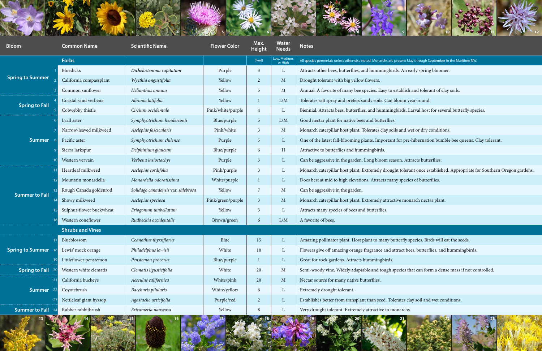

| <b>Bloom</b>            | <b>Common Name</b>       | <b>Scientific Name</b>             | <b>Flower Color</b> | Max.<br><b>Height</b> | <b>Water</b><br><b>Needs</b> | <b>Notes</b>                                                                                                          |
|-------------------------|--------------------------|------------------------------------|---------------------|-----------------------|------------------------------|-----------------------------------------------------------------------------------------------------------------------|
|                         | <b>Forbs</b>             |                                    |                     | (Feet)                | Low, Medium,<br>or High      | All species perennials unless otherwise noted. Monarchs are present May through September in the Maritime NW.         |
| <b>Spring to Summer</b> | Bluedicks                | Dichelostemma capitatum            | Purple              | 3                     | $\mathbf{L}$                 | Attracts other bees, butterflies, and hummingbirds. An early spring bloomer.                                          |
|                         | California compassplant  | Wyethia angustifolia               | Yellow              | 2                     | M                            | Drought tolerant with big yellow flowers.                                                                             |
|                         | Common sunflower         | Helianthus annuus                  | Yellow              | -5                    | $\mathbf{M}$                 | Annual. A favorite of many bee species. Easy to establish and tolerant of clay soils.                                 |
| <b>Spring to Fall</b>   | Coastal sand verbena     | Abronia latifolia                  | Yellow              |                       | L/M                          | Tolerates salt spray and prefers sandy soils. Can bloom year-round.                                                   |
|                         | Cobwebby thistle         | Cirsium occidentale                | Pink/white/purple   |                       | $\mathbf{L}$                 | Biennial. Attracts bees, butterflies, and hummingbirds. Larval host for several butterfly species.                    |
| <b>Summer</b>           | Lyall aster              | Symphyotrichum hendersonii         | Blue/purple         | $\overline{5}$        | L/M                          | Good nectar plant for native bees and butterflies.                                                                    |
|                         | Narrow-leaved milkweed   | Asclepias fascicularis             | Pink/white          | 3                     | $\mathbf M$                  | Monarch caterpillar host plant. Tolerates clay soils and wet or dry conditions.                                       |
|                         | Pacific aster            | Symphyotrichum chilense            | Purple              | $\overline{5}$        | $\mathbf{L}$                 | One of the latest fall-blooming plants. Important for pre-hibernation bumble bee queens. Clay tolerant.               |
|                         | Sierra larkspur          | Delphinium glaucum                 | Blue/purple         | 6                     | H                            | Attractive to butterflies and hummingbirds.                                                                           |
|                         | Western vervain          | Verbena lasiostachys               | Purple              | 3                     | $\mathbf{L}$                 | Can be aggressive in the garden. Long bloom season. Attracts butterflies.                                             |
| <b>Summer to Fall</b>   | Heartleaf milkweed       | Asclepias cordifolia               | Pink/purple         | 3                     | $\mathbf{L}$                 | Monarch caterpillar host plant. Extremely drought tolerant once established. Appropriate for Southern Oregon gardens. |
|                         | Mountain monardella      | Monardella odoratissima            | White/purple        |                       | $\mathbf{L}$                 | Does best at mid to high elevations. Attracts many species of butterflies.                                            |
|                         | Rough Canada goldenrod   | Solidago canadensis var. salebrosa | Yellow              |                       | M                            | Can be aggressive in the garden.                                                                                      |
|                         | Showy milkweed           | Asclepias speciosa                 | Pink/green/purple   | 3                     | $\mathbf M$                  | Monarch caterpillar host plant. Extremely attractive monarch nectar plant.                                            |
|                         | Sulphur-flower buckwheat | Eriogonum umbellatum               | Yellow              | 3                     | $\mathbf{L}$                 | Attracts many species of bees and butterflies.                                                                        |
|                         | Western coneflower       | Rudbeckia occidentalis             | Brown/green         | 6                     | L/M                          | A favorite of bees.                                                                                                   |
| <b>Shrubs and Vines</b> |                          |                                    |                     |                       |                              |                                                                                                                       |
| <b>Spring to Summer</b> | Blueblossom              | Ceanothus thyrsiflorus             | Blue                | 15                    | $\mathbf{L}$                 | Amazing pollinator plant. Host plant to many butterfly species. Birds will eat the seeds.                             |
|                         | Lewis' mock orange       | Philadelphus lewisii               | White               | 10                    | $\mathbf{L}$                 | Flowers give off amazing orange fragrance and attract bees, butterflies, and hummingbirds.                            |
|                         | Littleflower penstemon   | Penstemon procerus                 | Blue/purple         |                       | $\mathbf{L}$                 | Great for rock gardens. Attracts hummingbirds.                                                                        |
| <b>Spring to Fall</b>   | Western white clematis   | Clematis ligusticifolia            | White               | 20                    | $M_{\odot}$                  | Semi-woody vine. Widely adaptable and tough species that can form a dense mass if not controlled.                     |
| <b>Summer</b>           | California buckeye       | Aesculus californica               | White/pink          | 20                    | M                            | Nectar source for many native butterflies.                                                                            |
|                         | Coyotebrush              | Baccharis pilularis                | White/yellow        | 6                     | $\mathbf{L}$                 | Extremely drought tolerant.                                                                                           |
|                         | Nettleleaf giant hyssop  | Agastache urticifolia              | Purple/red          | $\overline{2}$        | $\mathbf{L}$                 | Establishes better from transplant than seed. Tolerates clay soil and wet conditions.                                 |
| <b>Summer to Fall</b>   | Rubber rabbitbrush       | Ericameria nauseosa                | Yellow              | 8                     | $\mathbf{L}$                 | Very drought tolerant. Extremely attractive to monarchs.                                                              |